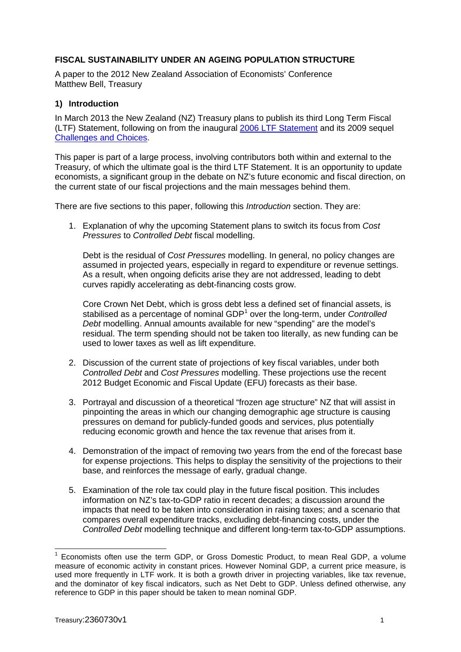### **FISCAL SUSTAINABILITY UNDER AN AGEING POPULATION STRUCTURE**

A paper to the 2012 New Zealand Association of Economists' Conference Matthew Bell, Treasury

#### **1) Introduction**

In March 2013 the New Zealand (NZ) Treasury plans to publish its third Long Term Fiscal (LTF) Statement, following on from the inaugural [2006 LTF Statement](http://www.treasury.govt.nz/government/longterm/fiscalposition/2006) and its 2009 sequel [Challenges and Choices.](http://www.treasury.govt.nz/government/longterm/fiscalposition/2009)

This paper is part of a large process, involving contributors both within and external to the Treasury, of which the ultimate goal is the third LTF Statement. It is an opportunity to update economists, a significant group in the debate on NZ's future economic and fiscal direction, on the current state of our fiscal projections and the main messages behind them.

There are five sections to this paper, following this *Introduction* section. They are:

1. Explanation of why the upcoming Statement plans to switch its focus from *Cost Pressures* to *Controlled Debt* fiscal modelling.

Debt is the residual of *Cost Pressures* modelling. In general, no policy changes are assumed in projected years, especially in regard to expenditure or revenue settings. As a result, when ongoing deficits arise they are not addressed, leading to debt curves rapidly accelerating as debt-financing costs grow.

Core Crown Net Debt, which is gross debt less a defined set of financial assets, is stabilised as a percentage of nominal GDP<sup>[1](#page-0-0)</sup> over the long-term, under *Controlled Debt* modelling. Annual amounts available for new "spending" are the model's residual. The term spending should not be taken too literally, as new funding can be used to lower taxes as well as lift expenditure.

- 2. Discussion of the current state of projections of key fiscal variables, under both *Controlled Debt* and *Cost Pressures* modelling. These projections use the recent 2012 Budget Economic and Fiscal Update (EFU) forecasts as their base.
- 3. Portrayal and discussion of a theoretical "frozen age structure" NZ that will assist in pinpointing the areas in which our changing demographic age structure is causing pressures on demand for publicly-funded goods and services, plus potentially reducing economic growth and hence the tax revenue that arises from it.
- 4. Demonstration of the impact of removing two years from the end of the forecast base for expense projections. This helps to display the sensitivity of the projections to their base, and reinforces the message of early, gradual change.
- 5. Examination of the role tax could play in the future fiscal position. This includes information on NZ's tax-to-GDP ratio in recent decades; a discussion around the impacts that need to be taken into consideration in raising taxes; and a scenario that compares overall expenditure tracks, excluding debt-financing costs, under the *Controlled Debt* modelling technique and different long-term tax-to-GDP assumptions.

<span id="page-0-0"></span> $<sup>1</sup>$  Economists often use the term GDP, or Gross Domestic Product, to mean Real GDP, a volume</sup> measure of economic activity in constant prices. However Nominal GDP, a current price measure, is used more frequently in LTF work. It is both a growth driver in projecting variables, like tax revenue, and the dominator of key fiscal indicators, such as Net Debt to GDP. Unless defined otherwise, any reference to GDP in this paper should be taken to mean nominal GDP.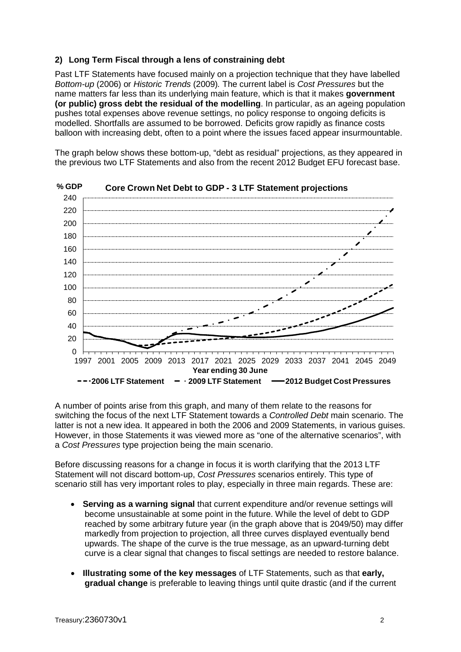### **2) Long Term Fiscal through a lens of constraining debt**

Past LTF Statements have focused mainly on a projection technique that they have labelled *Bottom-up* (2006) or *Historic Trends* (2009)*.* The current label is *Cost Pressures* but the name matters far less than its underlying main feature, which is that it makes **government (or public) gross debt the residual of the modelling**. In particular, as an ageing population pushes total expenses above revenue settings, no policy response to ongoing deficits is modelled. Shortfalls are assumed to be borrowed. Deficits grow rapidly as finance costs balloon with increasing debt, often to a point where the issues faced appear insurmountable.

The graph below shows these bottom-up, "debt as residual" projections, as they appeared in the previous two LTF Statements and also from the recent 2012 Budget EFU forecast base.



**% GDP Core Crown Net Debt to GDP - 3 LTF Statement projections** 

A number of points arise from this graph, and many of them relate to the reasons for switching the focus of the next LTF Statement towards a *Controlled Debt* main scenario. The latter is not a new idea. It appeared in both the 2006 and 2009 Statements, in various guises. However, in those Statements it was viewed more as "one of the alternative scenarios", with a *Cost Pressures* type projection being the main scenario.

Before discussing reasons for a change in focus it is worth clarifying that the 2013 LTF Statement will not discard bottom-up, *Cost Pressures* scenarios entirely. This type of scenario still has very important roles to play, especially in three main regards. These are:

- **Serving as a warning signal** that current expenditure and/or revenue settings will become unsustainable at some point in the future. While the level of debt to GDP reached by some arbitrary future year (in the graph above that is 2049/50) may differ markedly from projection to projection, all three curves displayed eventually bend upwards. The shape of the curve is the true message, as an upward-turning debt curve is a clear signal that changes to fiscal settings are needed to restore balance.
- **Illustrating some of the key messages** of LTF Statements, such as that **early, gradual change** is preferable to leaving things until quite drastic (and if the current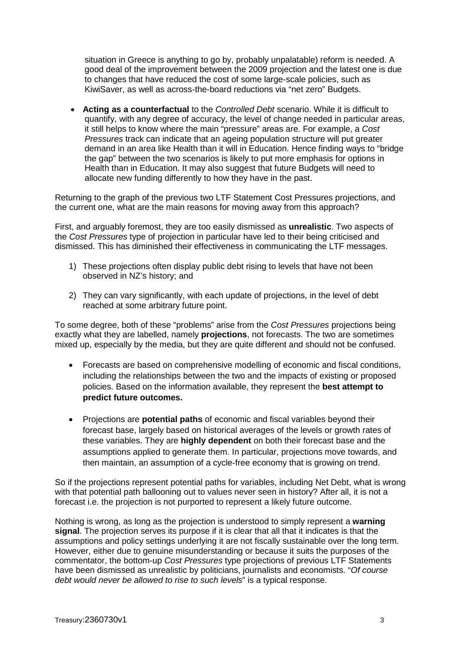situation in Greece is anything to go by, probably unpalatable) reform is needed. A good deal of the improvement between the 2009 projection and the latest one is due to changes that have reduced the cost of some large-scale policies, such as KiwiSaver, as well as across-the-board reductions via "net zero" Budgets.

• **Acting as a counterfactual** to the *Controlled Debt* scenario. While it is difficult to quantify, with any degree of accuracy, the level of change needed in particular areas, it still helps to know where the main "pressure" areas are. For example, a *Cost Pressures* track can indicate that an ageing population structure will put greater demand in an area like Health than it will in Education. Hence finding ways to "bridge the gap" between the two scenarios is likely to put more emphasis for options in Health than in Education. It may also suggest that future Budgets will need to allocate new funding differently to how they have in the past.

Returning to the graph of the previous two LTF Statement Cost Pressures projections, and the current one, what are the main reasons for moving away from this approach?

First, and arguably foremost, they are too easily dismissed as **unrealistic**. Two aspects of the *Cost Pressures* type of projection in particular have led to their being criticised and dismissed. This has diminished their effectiveness in communicating the LTF messages.

- 1) These projections often display public debt rising to levels that have not been observed in NZ's history; and
- 2) They can vary significantly, with each update of projections, in the level of debt reached at some arbitrary future point.

To some degree, both of these "problems" arise from the *Cost Pressures* projections being exactly what they are labelled, namely **projections**, not forecasts. The two are sometimes mixed up, especially by the media, but they are quite different and should not be confused.

- Forecasts are based on comprehensive modelling of economic and fiscal conditions, including the relationships between the two and the impacts of existing or proposed policies. Based on the information available, they represent the **best attempt to predict future outcomes.**
- Projections are **potential paths** of economic and fiscal variables beyond their forecast base, largely based on historical averages of the levels or growth rates of these variables. They are **highly dependent** on both their forecast base and the assumptions applied to generate them. In particular, projections move towards, and then maintain, an assumption of a cycle-free economy that is growing on trend.

So if the projections represent potential paths for variables, including Net Debt, what is wrong with that potential path ballooning out to values never seen in history? After all, it is not a forecast i.e. the projection is not purported to represent a likely future outcome.

Nothing is wrong, as long as the projection is understood to simply represent a **warning signal**. The projection serves its purpose if it is clear that all that it indicates is that the assumptions and policy settings underlying it are not fiscally sustainable over the long term. However, either due to genuine misunderstanding or because it suits the purposes of the commentator, the bottom-up *Cost Pressures* type projections of previous LTF Statements have been dismissed as unrealistic by politicians, journalists and economists. "*Of course debt would never be allowed to rise to such levels*" is a typical response.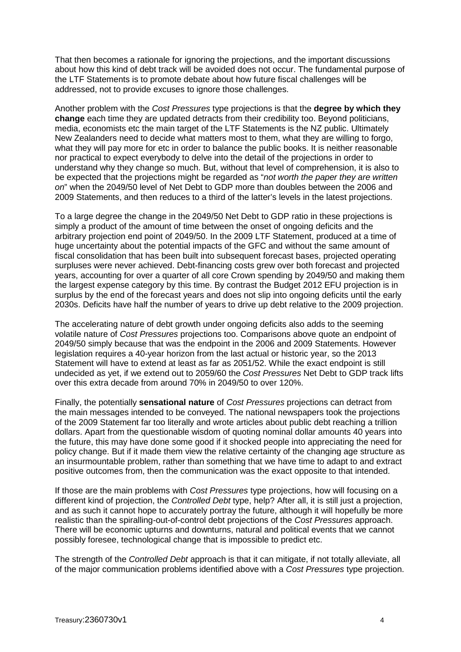That then becomes a rationale for ignoring the projections, and the important discussions about how this kind of debt track will be avoided does not occur. The fundamental purpose of the LTF Statements is to promote debate about how future fiscal challenges will be addressed, not to provide excuses to ignore those challenges.

Another problem with the *Cost Pressures* type projections is that the **degree by which they change** each time they are updated detracts from their credibility too. Beyond politicians, media, economists etc the main target of the LTF Statements is the NZ public. Ultimately New Zealanders need to decide what matters most to them, what they are willing to forgo, what they will pay more for etc in order to balance the public books. It is neither reasonable nor practical to expect everybody to delve into the detail of the projections in order to understand why they change so much. But, without that level of comprehension, it is also to be expected that the projections might be regarded as "*not worth the paper they are written on*" when the 2049/50 level of Net Debt to GDP more than doubles between the 2006 and 2009 Statements, and then reduces to a third of the latter's levels in the latest projections.

To a large degree the change in the 2049/50 Net Debt to GDP ratio in these projections is simply a product of the amount of time between the onset of ongoing deficits and the arbitrary projection end point of 2049/50. In the 2009 LTF Statement, produced at a time of huge uncertainty about the potential impacts of the GFC and without the same amount of fiscal consolidation that has been built into subsequent forecast bases, projected operating surpluses were never achieved. Debt-financing costs grew over both forecast and projected years, accounting for over a quarter of all core Crown spending by 2049/50 and making them the largest expense category by this time. By contrast the Budget 2012 EFU projection is in surplus by the end of the forecast years and does not slip into ongoing deficits until the early 2030s. Deficits have half the number of years to drive up debt relative to the 2009 projection.

The accelerating nature of debt growth under ongoing deficits also adds to the seeming volatile nature of *Cost Pressures* projections too. Comparisons above quote an endpoint of 2049/50 simply because that was the endpoint in the 2006 and 2009 Statements. However legislation requires a 40-year horizon from the last actual or historic year, so the 2013 Statement will have to extend at least as far as 2051/52. While the exact endpoint is still undecided as yet, if we extend out to 2059/60 the *Cost Pressures* Net Debt to GDP track lifts over this extra decade from around 70% in 2049/50 to over 120%.

Finally, the potentially **sensational nature** of *Cost Pressures* projections can detract from the main messages intended to be conveyed. The national newspapers took the projections of the 2009 Statement far too literally and wrote articles about public debt reaching a trillion dollars. Apart from the questionable wisdom of quoting nominal dollar amounts 40 years into the future, this may have done some good if it shocked people into appreciating the need for policy change. But if it made them view the relative certainty of the changing age structure as an insurmountable problem, rather than something that we have time to adapt to and extract positive outcomes from, then the communication was the exact opposite to that intended.

If those are the main problems with *Cost Pressures* type projections, how will focusing on a different kind of projection, the *Controlled Debt* type, help? After all, it is still just a projection, and as such it cannot hope to accurately portray the future, although it will hopefully be more realistic than the spiralling-out-of-control debt projections of the *Cost Pressures* approach. There will be economic upturns and downturns, natural and political events that we cannot possibly foresee, technological change that is impossible to predict etc.

The strength of the *Controlled Debt* approach is that it can mitigate, if not totally alleviate, all of the major communication problems identified above with a *Cost Pressures* type projection.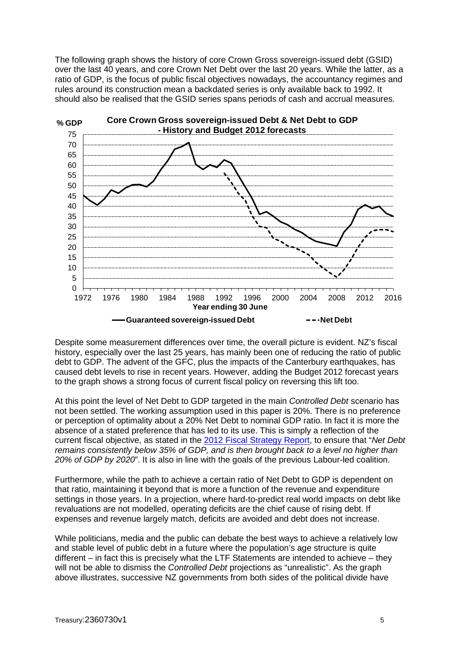The following graph shows the history of core Crown Gross sovereign-issued debt (GSID) over the last 40 years, and core Crown Net Debt over the last 20 years. While the latter, as a ratio of GDP, is the focus of public fiscal objectives nowadays, the accountancy regimes and rules around its construction mean a backdated series is only available back to 1992. It should also be realised that the GSID series spans periods of cash and accrual measures.



Despite some measurement differences over time, the overall picture is evident. NZ's fiscal history, especially over the last 25 years, has mainly been one of reducing the ratio of public debt to GDP. The advent of the GFC, plus the impacts of the Canterbury earthquakes, has caused debt levels to rise in recent years. However, adding the Budget 2012 forecast years to the graph shows a strong focus of current fiscal policy on reversing this lift too.

At this point the level of Net Debt to GDP targeted in the main *Controlled Debt* scenario has not been settled. The working assumption used in this paper is 20%. There is no preference or perception of optimality about a 20% Net Debt to nominal GDP ratio. In fact it is more the absence of a stated preference that has led to its use. This is simply a reflection of the current fiscal objective, as stated in the 2012 Fiscal [Strategy Report,](http://www.treasury.govt.nz/budget/2012/fsr/15.htm) to ensure that "*Net Debt remains consistently below 35% of GDP, and is then brought back to a level no higher than 20% of GDP by 2020*". It is also in line with the goals of the previous Labour-led coalition.

Furthermore, while the path to achieve a certain ratio of Net Debt to GDP is dependent on that ratio, maintaining it beyond that is more a function of the revenue and expenditure settings in those years. In a projection, where hard-to-predict real world impacts on debt like revaluations are not modelled, operating deficits are the chief cause of rising debt. If expenses and revenue largely match, deficits are avoided and debt does not increase.

While politicians, media and the public can debate the best ways to achieve a relatively low and stable level of public debt in a future where the population's age structure is quite different – in fact this is precisely what the LTF Statements are intended to achieve – they will not be able to dismiss the *Controlled Debt* projections as "unrealistic". As the graph above illustrates, successive NZ governments from both sides of the political divide have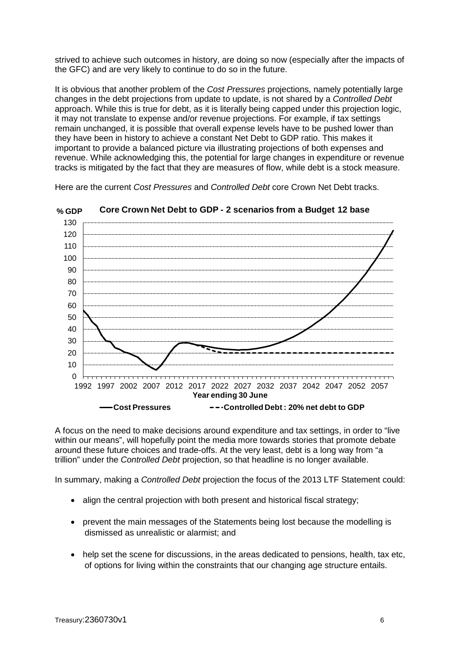strived to achieve such outcomes in history, are doing so now (especially after the impacts of the GFC) and are very likely to continue to do so in the future.

It is obvious that another problem of the *Cost Pressures* projections, namely potentially large changes in the debt projections from update to update, is not shared by a *Controlled Debt*  approach. While this is true for debt, as it is literally being capped under this projection logic, it may not translate to expense and/or revenue projections. For example, if tax settings remain unchanged, it is possible that overall expense levels have to be pushed lower than they have been in history to achieve a constant Net Debt to GDP ratio. This makes it important to provide a balanced picture via illustrating projections of both expenses and revenue. While acknowledging this, the potential for large changes in expenditure or revenue tracks is mitigated by the fact that they are measures of flow, while debt is a stock measure.

Here are the current *Cost Pressures* and *Controlled Debt* core Crown Net Debt tracks.



**% GDP Core Crown Net Debt to GDP - 2 scenarios from a Budget 12 base** 

A focus on the need to make decisions around expenditure and tax settings, in order to "live within our means", will hopefully point the media more towards stories that promote debate around these future choices and trade-offs. At the very least, debt is a long way from "a trillion" under the *Controlled Debt* projection, so that headline is no longer available.

In summary, making a *Controlled Debt* projection the focus of the 2013 LTF Statement could:

- align the central projection with both present and historical fiscal strategy;
- prevent the main messages of the Statements being lost because the modelling is dismissed as unrealistic or alarmist; and
- help set the scene for discussions, in the areas dedicated to pensions, health, tax etc, of options for living within the constraints that our changing age structure entails.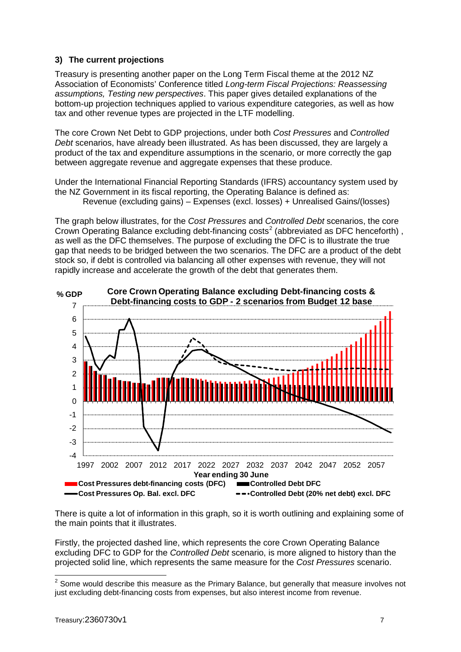## **3) The current projections**

Treasury is presenting another paper on the Long Term Fiscal theme at the 2012 NZ Association of Economists' Conference titled *Long-term Fiscal Projections: Reassessing assumptions, Testing new perspectives*. This paper gives detailed explanations of the bottom-up projection techniques applied to various expenditure categories, as well as how tax and other revenue types are projected in the LTF modelling.

The core Crown Net Debt to GDP projections, under both *Cost Pressures* and *Controlled Debt* scenarios, have already been illustrated. As has been discussed, they are largely a product of the tax and expenditure assumptions in the scenario, or more correctly the gap between aggregate revenue and aggregate expenses that these produce.

Under the International Financial Reporting Standards (IFRS) accountancy system used by the NZ Government in its fiscal reporting, the Operating Balance is defined as:

Revenue (excluding gains) – Expenses (excl. losses) + Unrealised Gains/(losses)

The graph below illustrates, for the *Cost Pressures* and *Controlled Debt* scenarios, the core Crown Operating Balance excluding debt-financing costs<sup>[2](#page-6-0)</sup> (abbreviated as DFC henceforth), as well as the DFC themselves. The purpose of excluding the DFC is to illustrate the true gap that needs to be bridged between the two scenarios. The DFC are a product of the debt stock so, if debt is controlled via balancing all other expenses with revenue, they will not rapidly increase and accelerate the growth of the debt that generates them.



There is quite a lot of information in this graph, so it is worth outlining and explaining some of the main points that it illustrates.

Firstly, the projected dashed line, which represents the core Crown Operating Balance excluding DFC to GDP for the *Controlled Debt* scenario, is more aligned to history than the projected solid line, which represents the same measure for the *Cost Pressures* scenario.

<span id="page-6-0"></span> $2$  Some would describe this measure as the Primary Balance, but generally that measure involves not just excluding debt-financing costs from expenses, but also interest income from revenue.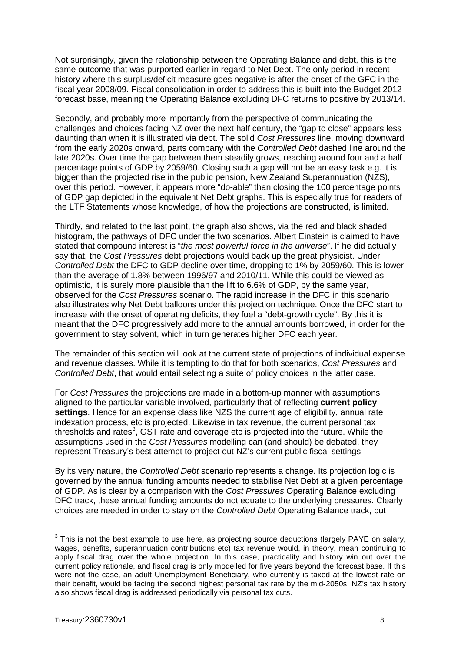Not surprisingly, given the relationship between the Operating Balance and debt, this is the same outcome that was purported earlier in regard to Net Debt. The only period in recent history where this surplus/deficit measure goes negative is after the onset of the GFC in the fiscal year 2008/09. Fiscal consolidation in order to address this is built into the Budget 2012 forecast base, meaning the Operating Balance excluding DFC returns to positive by 2013/14.

Secondly, and probably more importantly from the perspective of communicating the challenges and choices facing NZ over the next half century, the "gap to close" appears less daunting than when it is illustrated via debt. The solid *Cost Pressures* line, moving downward from the early 2020s onward, parts company with the *Controlled Debt* dashed line around the late 2020s. Over time the gap between them steadily grows, reaching around four and a half percentage points of GDP by 2059/60. Closing such a gap will not be an easy task e.g. it is bigger than the projected rise in the public pension, New Zealand Superannuation (NZS), over this period. However, it appears more "do-able" than closing the 100 percentage points of GDP gap depicted in the equivalent Net Debt graphs. This is especially true for readers of the LTF Statements whose knowledge, of how the projections are constructed, is limited.

Thirdly, and related to the last point, the graph also shows, via the red and black shaded histogram, the pathways of DFC under the two scenarios. Albert Einstein is claimed to have stated that compound interest is "*the most powerful force in the universe*". If he did actually say that, the *Cost Pressures* debt projections would back up the great physicist. Under *Controlled Debt* the DFC to GDP decline over time, dropping to 1% by 2059/60. This is lower than the average of 1.8% between 1996/97 and 2010/11. While this could be viewed as optimistic, it is surely more plausible than the lift to 6.6% of GDP, by the same year, observed for the *Cost Pressures* scenario. The rapid increase in the DFC in this scenario also illustrates why Net Debt balloons under this projection technique. Once the DFC start to increase with the onset of operating deficits, they fuel a "debt-growth cycle". By this it is meant that the DFC progressively add more to the annual amounts borrowed, in order for the government to stay solvent, which in turn generates higher DFC each year.

The remainder of this section will look at the current state of projections of individual expense and revenue classes. While it is tempting to do that for both scenarios, *Cost Pressures* and *Controlled Debt*, that would entail selecting a suite of policy choices in the latter case.

For *Cost Pressures* the projections are made in a bottom-up manner with assumptions aligned to the particular variable involved, particularly that of reflecting **current policy settings**. Hence for an expense class like NZS the current age of eligibility, annual rate indexation process, etc is projected. Likewise in tax revenue, the current personal tax thresholds and rates<sup>[3](#page-7-0)</sup>, GST rate and coverage etc is projected into the future. While the assumptions used in the *Cost Pressures* modelling can (and should) be debated, they represent Treasury's best attempt to project out NZ's current public fiscal settings.

By its very nature, the *Controlled Debt* scenario represents a change. Its projection logic is governed by the annual funding amounts needed to stabilise Net Debt at a given percentage of GDP. As is clear by a comparison with the *Cost Pressures* Operating Balance excluding DFC track, these annual funding amounts do not equate to the underlying pressures. Clearly choices are needed in order to stay on the *Controlled Debt* Operating Balance track, but

<span id="page-7-0"></span> $3$  This is not the best example to use here, as projecting source deductions (largely PAYE on salary, wages, benefits, superannuation contributions etc) tax revenue would, in theory, mean continuing to apply fiscal drag over the whole projection. In this case, practicality and history win out over the current policy rationale, and fiscal drag is only modelled for five years beyond the forecast base. If this were not the case, an adult Unemployment Beneficiary, who currently is taxed at the lowest rate on their benefit, would be facing the second highest personal tax rate by the mid-2050s. NZ's tax history also shows fiscal drag is addressed periodically via personal tax cuts.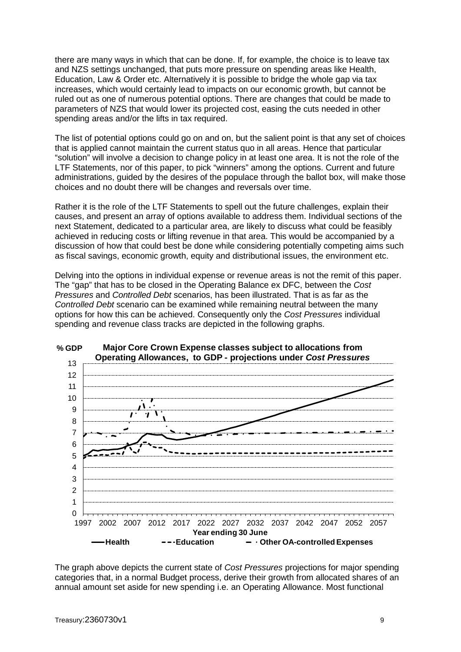there are many ways in which that can be done. If, for example, the choice is to leave tax and NZS settings unchanged, that puts more pressure on spending areas like Health, Education, Law & Order etc. Alternatively it is possible to bridge the whole gap via tax increases, which would certainly lead to impacts on our economic growth, but cannot be ruled out as one of numerous potential options. There are changes that could be made to parameters of NZS that would lower its projected cost, easing the cuts needed in other spending areas and/or the lifts in tax required.

The list of potential options could go on and on, but the salient point is that any set of choices that is applied cannot maintain the current status quo in all areas. Hence that particular "solution" will involve a decision to change policy in at least one area. It is not the role of the LTF Statements, nor of this paper, to pick "winners" among the options. Current and future administrations, guided by the desires of the populace through the ballot box, will make those choices and no doubt there will be changes and reversals over time.

Rather it is the role of the LTF Statements to spell out the future challenges, explain their causes, and present an array of options available to address them. Individual sections of the next Statement, dedicated to a particular area, are likely to discuss what could be feasibly achieved in reducing costs or lifting revenue in that area. This would be accompanied by a discussion of how that could best be done while considering potentially competing aims such as fiscal savings, economic growth, equity and distributional issues, the environment etc.

Delving into the options in individual expense or revenue areas is not the remit of this paper. The "gap" that has to be closed in the Operating Balance ex DFC, between the *Cost Pressures* and *Controlled Debt* scenarios, has been illustrated. That is as far as the *Controlled Debt* scenario can be examined while remaining neutral between the many options for how this can be achieved. Consequently only the *Cost Pressures* individual spending and revenue class tracks are depicted in the following graphs.



**% GDP Major Core Crown Expense classes subject to allocations from** 

The graph above depicts the current state of *Cost Pressures* projections for major spending categories that, in a normal Budget process, derive their growth from allocated shares of an annual amount set aside for new spending i.e. an Operating Allowance. Most functional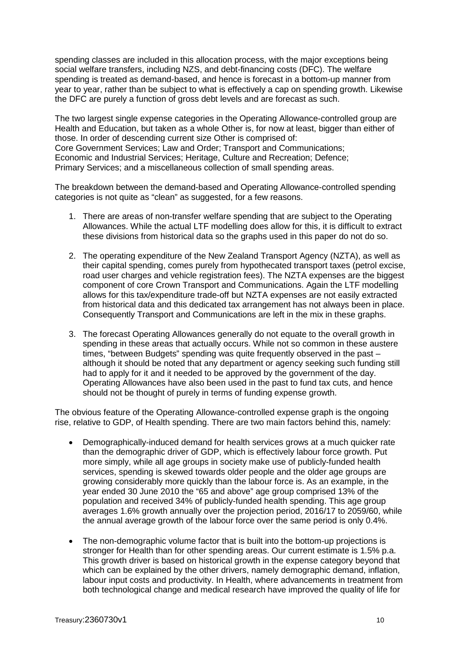spending classes are included in this allocation process, with the major exceptions being social welfare transfers, including NZS, and debt-financing costs (DFC). The welfare spending is treated as demand-based, and hence is forecast in a bottom-up manner from year to year, rather than be subject to what is effectively a cap on spending growth. Likewise the DFC are purely a function of gross debt levels and are forecast as such.

The two largest single expense categories in the Operating Allowance-controlled group are Health and Education, but taken as a whole Other is, for now at least, bigger than either of those. In order of descending current size Other is comprised of: Core Government Services; Law and Order; Transport and Communications; Economic and Industrial Services; Heritage, Culture and Recreation; Defence; Primary Services; and a miscellaneous collection of small spending areas.

The breakdown between the demand-based and Operating Allowance-controlled spending categories is not quite as "clean" as suggested, for a few reasons.

- 1. There are areas of non-transfer welfare spending that are subject to the Operating Allowances. While the actual LTF modelling does allow for this, it is difficult to extract these divisions from historical data so the graphs used in this paper do not do so.
- 2. The operating expenditure of the New Zealand Transport Agency (NZTA), as well as their capital spending, comes purely from hypothecated transport taxes (petrol excise, road user charges and vehicle registration fees). The NZTA expenses are the biggest component of core Crown Transport and Communications. Again the LTF modelling allows for this tax/expenditure trade-off but NZTA expenses are not easily extracted from historical data and this dedicated tax arrangement has not always been in place. Consequently Transport and Communications are left in the mix in these graphs.
- 3. The forecast Operating Allowances generally do not equate to the overall growth in spending in these areas that actually occurs. While not so common in these austere times, "between Budgets" spending was quite frequently observed in the past – although it should be noted that any department or agency seeking such funding still had to apply for it and it needed to be approved by the government of the day. Operating Allowances have also been used in the past to fund tax cuts, and hence should not be thought of purely in terms of funding expense growth.

The obvious feature of the Operating Allowance-controlled expense graph is the ongoing rise, relative to GDP, of Health spending. There are two main factors behind this, namely:

- Demographically-induced demand for health services grows at a much quicker rate than the demographic driver of GDP, which is effectively labour force growth. Put more simply, while all age groups in society make use of publicly-funded health services, spending is skewed towards older people and the older age groups are growing considerably more quickly than the labour force is. As an example, in the year ended 30 June 2010 the "65 and above" age group comprised 13% of the population and received 34% of publicly-funded health spending. This age group averages 1.6% growth annually over the projection period, 2016/17 to 2059/60, while the annual average growth of the labour force over the same period is only 0.4%.
- The non-demographic volume factor that is built into the bottom-up projections is stronger for Health than for other spending areas. Our current estimate is 1.5% p.a. This growth driver is based on historical growth in the expense category beyond that which can be explained by the other drivers, namely demographic demand, inflation, labour input costs and productivity. In Health, where advancements in treatment from both technological change and medical research have improved the quality of life for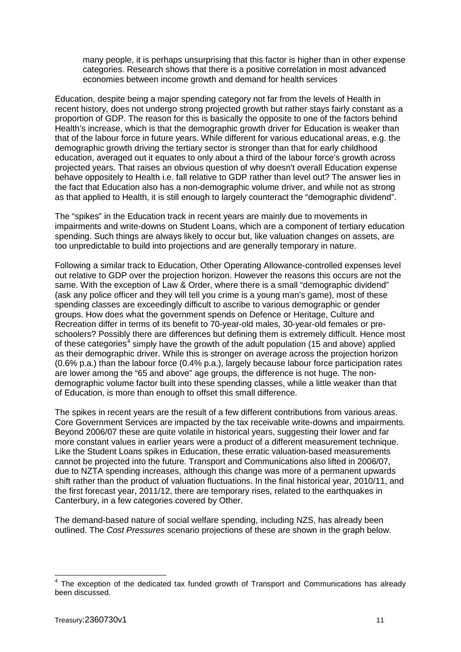many people, it is perhaps unsurprising that this factor is higher than in other expense categories. Research shows that there is a positive correlation in most advanced economies between income growth and demand for health services

Education, despite being a major spending category not far from the levels of Health in recent history, does not undergo strong projected growth but rather stays fairly constant as a proportion of GDP. The reason for this is basically the opposite to one of the factors behind Health's increase, which is that the demographic growth driver for Education is weaker than that of the labour force in future years. While different for various educational areas, e.g. the demographic growth driving the tertiary sector is stronger than that for early childhood education, averaged out it equates to only about a third of the labour force's growth across projected years. That raises an obvious question of why doesn't overall Education expense behave oppositely to Health i.e. fall relative to GDP rather than level out? The answer lies in the fact that Education also has a non-demographic volume driver, and while not as strong as that applied to Health, it is still enough to largely counteract the "demographic dividend".

The "spikes" in the Education track in recent years are mainly due to movements in impairments and write-downs on Student Loans, which are a component of tertiary education spending. Such things are always likely to occur but, like valuation changes on assets, are too unpredictable to build into projections and are generally temporary in nature.

Following a similar track to Education, Other Operating Allowance-controlled expenses level out relative to GDP over the projection horizon. However the reasons this occurs are not the same. With the exception of Law & Order, where there is a small "demographic dividend" (ask any police officer and they will tell you crime is a young man's game), most of these spending classes are exceedingly difficult to ascribe to various demographic or gender groups. How does what the government spends on Defence or Heritage, Culture and Recreation differ in terms of its benefit to 70-year-old males, 30-year-old females or preschoolers? Possibly there are differences but defining them is extremely difficult. Hence most of these categories<sup>[4](#page-10-0)</sup> simply have the growth of the adult population (15 and above) applied as their demographic driver. While this is stronger on average across the projection horizon (0.6% p.a.) than the labour force (0.4% p.a.), largely because labour force participation rates are lower among the "65 and above" age groups, the difference is not huge. The nondemographic volume factor built into these spending classes, while a little weaker than that of Education, is more than enough to offset this small difference.

The spikes in recent years are the result of a few different contributions from various areas. Core Government Services are impacted by the tax receivable write-downs and impairments. Beyond 2006/07 these are quite volatile in historical years, suggesting their lower and far more constant values in earlier years were a product of a different measurement technique. Like the Student Loans spikes in Education, these erratic valuation-based measurements cannot be projected into the future. Transport and Communications also lifted in 2006/07, due to NZTA spending increases, although this change was more of a permanent upwards shift rather than the product of valuation fluctuations. In the final historical year, 2010/11, and the first forecast year, 2011/12, there are temporary rises, related to the earthquakes in Canterbury, in a few categories covered by Other.

The demand-based nature of social welfare spending, including NZS, has already been outlined. The *Cost Pressures* scenario projections of these are shown in the graph below.

<span id="page-10-0"></span> $4$  The exception of the dedicated tax funded growth of Transport and Communications has already been discussed.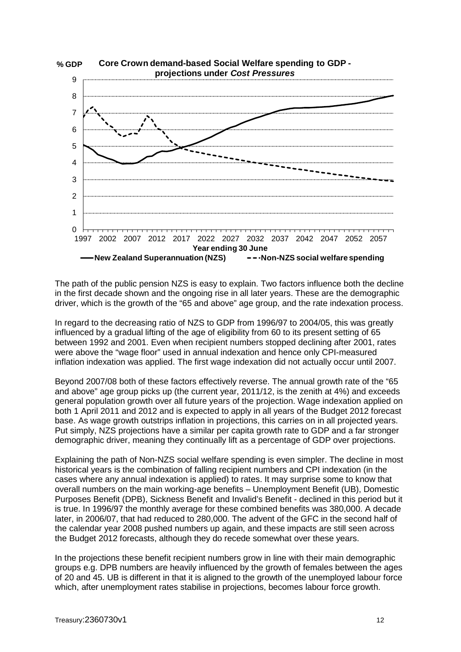

**% GDP Core Crown demand-based Social Welfare spending to GDP projections under** *Cost Pressures*

The path of the public pension NZS is easy to explain. Two factors influence both the decline in the first decade shown and the ongoing rise in all later years. These are the demographic driver, which is the growth of the "65 and above" age group, and the rate indexation process.

In regard to the decreasing ratio of NZS to GDP from 1996/97 to 2004/05, this was greatly influenced by a gradual lifting of the age of eligibility from 60 to its present setting of 65 between 1992 and 2001. Even when recipient numbers stopped declining after 2001, rates were above the "wage floor" used in annual indexation and hence only CPI-measured inflation indexation was applied. The first wage indexation did not actually occur until 2007.

Beyond 2007/08 both of these factors effectively reverse. The annual growth rate of the "65 and above" age group picks up (the current year, 2011/12, is the zenith at 4%) and exceeds general population growth over all future years of the projection. Wage indexation applied on both 1 April 2011 and 2012 and is expected to apply in all years of the Budget 2012 forecast base. As wage growth outstrips inflation in projections, this carries on in all projected years. Put simply, NZS projections have a similar per capita growth rate to GDP and a far stronger demographic driver, meaning they continually lift as a percentage of GDP over projections.

Explaining the path of Non-NZS social welfare spending is even simpler. The decline in most historical years is the combination of falling recipient numbers and CPI indexation (in the cases where any annual indexation is applied) to rates. It may surprise some to know that overall numbers on the main working-age benefits – Unemployment Benefit (UB), Domestic Purposes Benefit (DPB), Sickness Benefit and Invalid's Benefit - declined in this period but it is true. In 1996/97 the monthly average for these combined benefits was 380,000. A decade later, in 2006/07, that had reduced to 280,000. The advent of the GFC in the second half of the calendar year 2008 pushed numbers up again, and these impacts are still seen across the Budget 2012 forecasts, although they do recede somewhat over these years.

In the projections these benefit recipient numbers grow in line with their main demographic groups e.g. DPB numbers are heavily influenced by the growth of females between the ages of 20 and 45. UB is different in that it is aligned to the growth of the unemployed labour force which, after unemployment rates stabilise in projections, becomes labour force growth.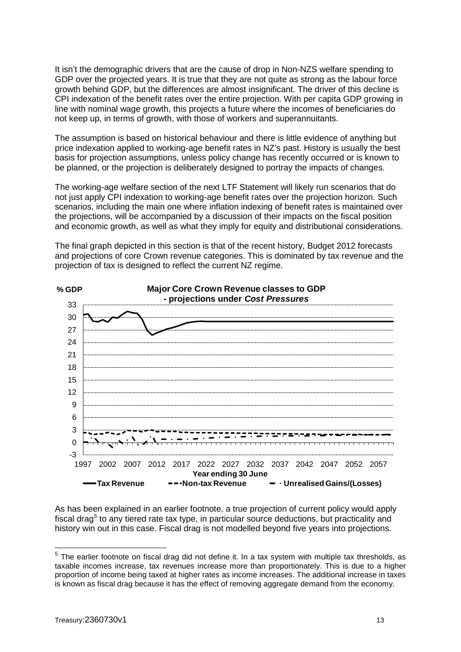It isn't the demographic drivers that are the cause of drop in Non-NZS welfare spending to GDP over the projected years. It is true that they are not quite as strong as the labour force growth behind GDP, but the differences are almost insignificant. The driver of this decline is CPI indexation of the benefit rates over the entire projection. With per capita GDP growing in line with nominal wage growth, this projects a future where the incomes of beneficiaries do not keep up, in terms of growth, with those of workers and superannuitants.

The assumption is based on historical behaviour and there is little evidence of anything but price indexation applied to working-age benefit rates in NZ's past. History is usually the best basis for projection assumptions, unless policy change has recently occurred or is known to be planned, or the projection is deliberately designed to portray the impacts of changes.

The working-age welfare section of the next LTF Statement will likely run scenarios that do not just apply CPI indexation to working-age benefit rates over the projection horizon. Such scenarios, including the main one where inflation indexing of benefit rates is maintained over the projections, will be accompanied by a discussion of their impacts on the fiscal position and economic growth, as well as what they imply for equity and distributional considerations.



The final graph depicted in this section is that of the recent history, Budget 2012 forecasts and projections of core Crown revenue categories. This is dominated by tax revenue and the projection of tax is designed to reflect the current NZ regime.

As has been explained in an earlier footnote, a true projection of current policy would apply fiscal drag<sup>[5](#page-12-0)</sup> to any tiered rate tax type, in particular source deductions, but practicality and history win out in this case. Fiscal drag is not modelled beyond five years into projections.

<span id="page-12-0"></span> $5$  The earlier footnote on fiscal drag did not define it. In a tax system with multiple tax thresholds, as taxable incomes increase, tax revenues increase more than proportionately. This is due to a higher proportion of income being taxed at higher rates as income increases. The additional increase in taxes is known as fiscal drag because it has the effect of removing aggregate demand from the economy.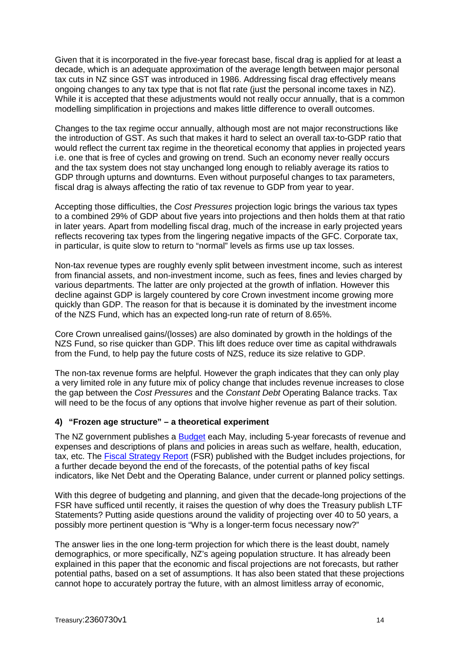Given that it is incorporated in the five-year forecast base, fiscal drag is applied for at least a decade, which is an adequate approximation of the average length between major personal tax cuts in NZ since GST was introduced in 1986. Addressing fiscal drag effectively means ongoing changes to any tax type that is not flat rate (just the personal income taxes in NZ). While it is accepted that these adjustments would not really occur annually, that is a common modelling simplification in projections and makes little difference to overall outcomes.

Changes to the tax regime occur annually, although most are not major reconstructions like the introduction of GST. As such that makes it hard to select an overall tax-to-GDP ratio that would reflect the current tax regime in the theoretical economy that applies in projected years i.e. one that is free of cycles and growing on trend. Such an economy never really occurs and the tax system does not stay unchanged long enough to reliably average its ratios to GDP through upturns and downturns. Even without purposeful changes to tax parameters, fiscal drag is always affecting the ratio of tax revenue to GDP from year to year.

Accepting those difficulties, the *Cost Pressures* projection logic brings the various tax types to a combined 29% of GDP about five years into projections and then holds them at that ratio in later years. Apart from modelling fiscal drag, much of the increase in early projected years reflects recovering tax types from the lingering negative impacts of the GFC. Corporate tax, in particular, is quite slow to return to "normal" levels as firms use up tax losses.

Non-tax revenue types are roughly evenly split between investment income, such as interest from financial assets, and non-investment income, such as fees, fines and levies charged by various departments. The latter are only projected at the growth of inflation. However this decline against GDP is largely countered by core Crown investment income growing more quickly than GDP. The reason for that is because it is dominated by the investment income of the NZS Fund, which has an expected long-run rate of return of 8.65%.

Core Crown unrealised gains/(losses) are also dominated by growth in the holdings of the NZS Fund, so rise quicker than GDP. This lift does reduce over time as capital withdrawals from the Fund, to help pay the future costs of NZS, reduce its size relative to GDP.

The non-tax revenue forms are helpful. However the graph indicates that they can only play a very limited role in any future mix of policy change that includes revenue increases to close the gap between the *Cost Pressures* and the *Constant Debt* Operating Balance tracks. Tax will need to be the focus of any options that involve higher revenue as part of their solution.

#### **4) "Frozen age structure" – a theoretical experiment**

The NZ government publishes a [Budget](http://www.treasury.govt.nz/budget/2012) each May, including 5-year forecasts of revenue and expenses and descriptions of plans and policies in areas such as welfare, health, education, tax, etc. The **Fiscal Strategy Report** (FSR) published with the Budget includes projections, for a further decade beyond the end of the forecasts, of the potential paths of key fiscal indicators, like Net Debt and the Operating Balance, under current or planned policy settings.

With this degree of budgeting and planning, and given that the decade-long projections of the FSR have sufficed until recently, it raises the question of why does the Treasury publish LTF Statements? Putting aside questions around the validity of projecting over 40 to 50 years, a possibly more pertinent question is "Why is a longer-term focus necessary now?"

The answer lies in the one long-term projection for which there is the least doubt, namely demographics, or more specifically, NZ's ageing population structure. It has already been explained in this paper that the economic and fiscal projections are not forecasts, but rather potential paths, based on a set of assumptions. It has also been stated that these projections cannot hope to accurately portray the future, with an almost limitless array of economic,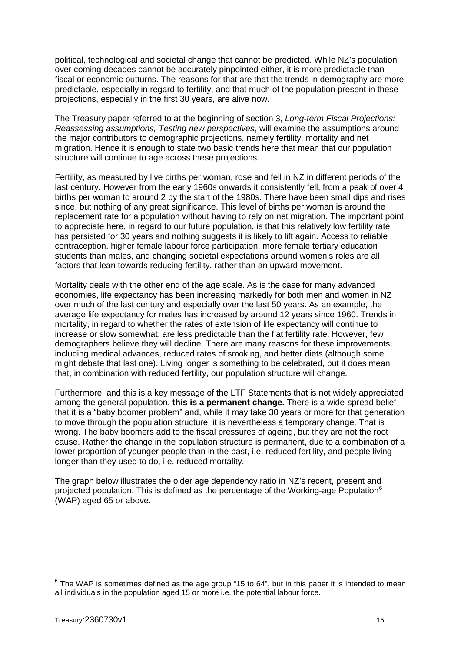political, technological and societal change that cannot be predicted. While NZ's population over coming decades cannot be accurately pinpointed either, it is more predictable than fiscal or economic outturns. The reasons for that are that the trends in demography are more predictable, especially in regard to fertility, and that much of the population present in these projections, especially in the first 30 years, are alive now.

The Treasury paper referred to at the beginning of section 3, *Long-term Fiscal Projections: Reassessing assumptions, Testing new perspectives*, will examine the assumptions around the major contributors to demographic projections, namely fertility, mortality and net migration. Hence it is enough to state two basic trends here that mean that our population structure will continue to age across these projections.

Fertility, as measured by live births per woman, rose and fell in NZ in different periods of the last century. However from the early 1960s onwards it consistently fell, from a peak of over 4 births per woman to around 2 by the start of the 1980s. There have been small dips and rises since, but nothing of any great significance. This level of births per woman is around the replacement rate for a population without having to rely on net migration. The important point to appreciate here, in regard to our future population, is that this relatively low fertility rate has persisted for 30 years and nothing suggests it is likely to lift again. Access to reliable contraception, higher female labour force participation, more female tertiary education students than males, and changing societal expectations around women's roles are all factors that lean towards reducing fertility, rather than an upward movement.

Mortality deals with the other end of the age scale. As is the case for many advanced economies, life expectancy has been increasing markedly for both men and women in NZ over much of the last century and especially over the last 50 years. As an example, the average life expectancy for males has increased by around 12 years since 1960. Trends in mortality, in regard to whether the rates of extension of life expectancy will continue to increase or slow somewhat, are less predictable than the flat fertility rate. However, few demographers believe they will decline. There are many reasons for these improvements, including medical advances, reduced rates of smoking, and better diets (although some might debate that last one). Living longer is something to be celebrated, but it does mean that, in combination with reduced fertility, our population structure will change.

Furthermore, and this is a key message of the LTF Statements that is not widely appreciated among the general population, **this is a permanent change.** There is a wide-spread belief that it is a "baby boomer problem" and, while it may take 30 years or more for that generation to move through the population structure, it is nevertheless a temporary change. That is wrong. The baby boomers add to the fiscal pressures of ageing, but they are not the root cause. Rather the change in the population structure is permanent, due to a combination of a lower proportion of younger people than in the past, i.e. reduced fertility, and people living longer than they used to do, i.e. reduced mortality.

The graph below illustrates the older age dependency ratio in NZ's recent, present and projected population. This is defined as the percentage of the Working-age Population<sup>[6](#page-14-0)</sup> (WAP) aged 65 or above.

<span id="page-14-0"></span> $6$  The WAP is sometimes defined as the age group "15 to 64", but in this paper it is intended to mean all individuals in the population aged 15 or more i.e. the potential labour force.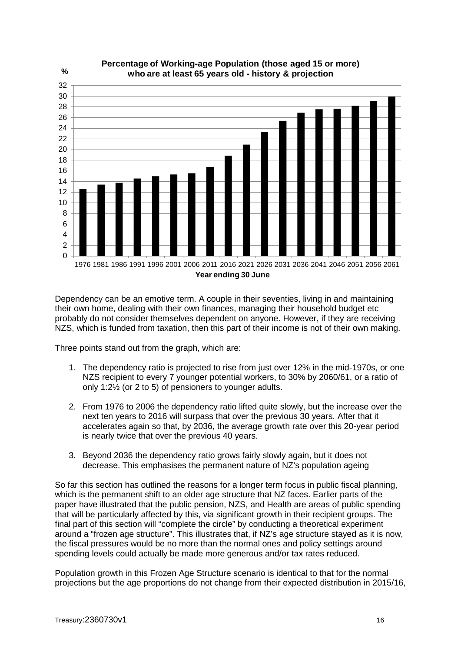

Dependency can be an emotive term. A couple in their seventies, living in and maintaining their own home, dealing with their own finances, managing their household budget etc probably do not consider themselves dependent on anyone. However, if they are receiving NZS, which is funded from taxation, then this part of their income is not of their own making.

Three points stand out from the graph, which are:

- 1. The dependency ratio is projected to rise from just over 12% in the mid-1970s, or one NZS recipient to every 7 younger potential workers, to 30% by 2060/61, or a ratio of only 1:2½ (or 2 to 5) of pensioners to younger adults.
- 2. From 1976 to 2006 the dependency ratio lifted quite slowly, but the increase over the next ten years to 2016 will surpass that over the previous 30 years. After that it accelerates again so that, by 2036, the average growth rate over this 20-year period is nearly twice that over the previous 40 years.
- 3. Beyond 2036 the dependency ratio grows fairly slowly again, but it does not decrease. This emphasises the permanent nature of NZ's population ageing

So far this section has outlined the reasons for a longer term focus in public fiscal planning, which is the permanent shift to an older age structure that NZ faces. Earlier parts of the paper have illustrated that the public pension, NZS, and Health are areas of public spending that will be particularly affected by this, via significant growth in their recipient groups. The final part of this section will "complete the circle" by conducting a theoretical experiment around a "frozen age structure". This illustrates that, if NZ's age structure stayed as it is now, the fiscal pressures would be no more than the normal ones and policy settings around spending levels could actually be made more generous and/or tax rates reduced.

Population growth in this Frozen Age Structure scenario is identical to that for the normal projections but the age proportions do not change from their expected distribution in 2015/16,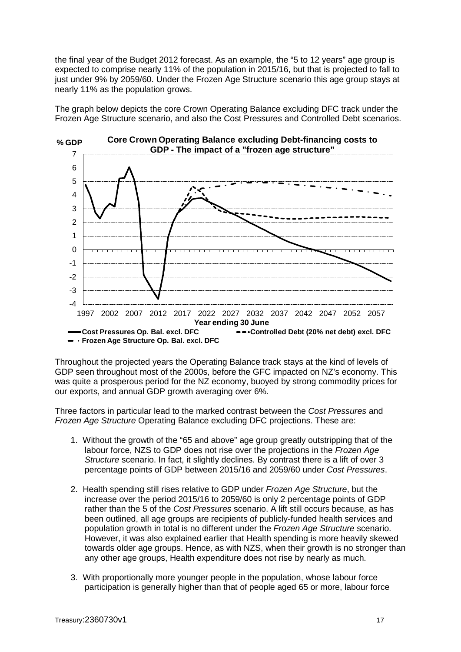the final year of the Budget 2012 forecast. As an example, the "5 to 12 years" age group is expected to comprise nearly 11% of the population in 2015/16, but that is projected to fall to just under 9% by 2059/60. Under the Frozen Age Structure scenario this age group stays at nearly 11% as the population grows.

The graph below depicts the core Crown Operating Balance excluding DFC track under the Frozen Age Structure scenario, and also the Cost Pressures and Controlled Debt scenarios.



Throughout the projected years the Operating Balance track stays at the kind of levels of GDP seen throughout most of the 2000s, before the GFC impacted on NZ's economy. This was quite a prosperous period for the NZ economy, buoyed by strong commodity prices for our exports, and annual GDP growth averaging over 6%.

Three factors in particular lead to the marked contrast between the *Cost Pressures* and *Frozen Age Structure* Operating Balance excluding DFC projections. These are:

- 1. Without the growth of the "65 and above" age group greatly outstripping that of the labour force, NZS to GDP does not rise over the projections in the *Frozen Age Structure* scenario. In fact, it slightly declines. By contrast there is a lift of over 3 percentage points of GDP between 2015/16 and 2059/60 under *Cost Pressures*.
- 2. Health spending still rises relative to GDP under *Frozen Age Structure*, but the increase over the period 2015/16 to 2059/60 is only 2 percentage points of GDP rather than the 5 of the *Cost Pressures* scenario. A lift still occurs because, as has been outlined, all age groups are recipients of publicly-funded health services and population growth in total is no different under the *Frozen Age Structure* scenario. However, it was also explained earlier that Health spending is more heavily skewed towards older age groups. Hence, as with NZS, when their growth is no stronger than any other age groups, Health expenditure does not rise by nearly as much.
- 3. With proportionally more younger people in the population, whose labour force participation is generally higher than that of people aged 65 or more, labour force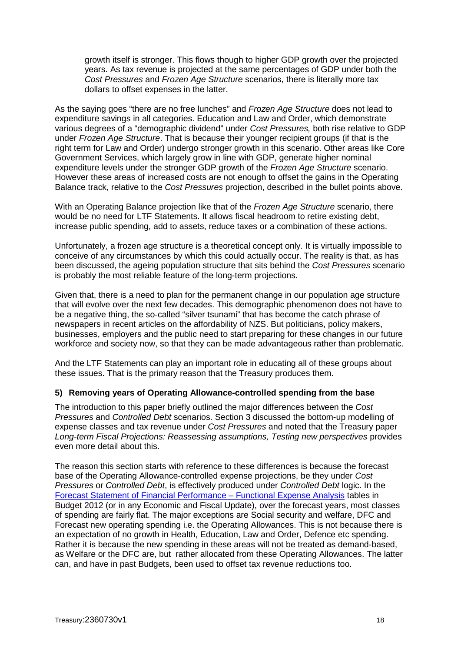growth itself is stronger. This flows though to higher GDP growth over the projected years. As tax revenue is projected at the same percentages of GDP under both the *Cost Pressures* and *Frozen Age Structure* scenarios*,* there is literally more tax dollars to offset expenses in the latter.

As the saying goes "there are no free lunches" and *Frozen Age Structure* does not lead to expenditure savings in all categories. Education and Law and Order, which demonstrate various degrees of a "demographic dividend" under *Cost Pressures,* both rise relative to GDP under *Frozen Age Structure*. That is because their younger recipient groups (if that is the right term for Law and Order) undergo stronger growth in this scenario. Other areas like Core Government Services, which largely grow in line with GDP, generate higher nominal expenditure levels under the stronger GDP growth of the *Frozen Age Structure* scenario. However these areas of increased costs are not enough to offset the gains in the Operating Balance track, relative to the *Cost Pressures* projection, described in the bullet points above.

With an Operating Balance projection like that of the *Frozen Age Structure* scenario, there would be no need for LTF Statements. It allows fiscal headroom to retire existing debt, increase public spending, add to assets, reduce taxes or a combination of these actions.

Unfortunately, a frozen age structure is a theoretical concept only. It is virtually impossible to conceive of any circumstances by which this could actually occur. The reality is that, as has been discussed, the ageing population structure that sits behind the *Cost Pressures* scenario is probably the most reliable feature of the long-term projections.

Given that, there is a need to plan for the permanent change in our population age structure that will evolve over the next few decades. This demographic phenomenon does not have to be a negative thing, the so-called "silver tsunami" that has become the catch phrase of newspapers in recent articles on the affordability of NZS. But politicians, policy makers, businesses, employers and the public need to start preparing for these changes in our future workforce and society now, so that they can be made advantageous rather than problematic.

And the LTF Statements can play an important role in educating all of these groups about these issues. That is the primary reason that the Treasury produces them.

# **5) Removing years of Operating Allowance-controlled spending from the base**

The introduction to this paper briefly outlined the major differences between the *Cost Pressures* and *Controlled Debt* scenarios. Section 3 discussed the bottom-up modelling of expense classes and tax revenue under *Cost Pressures* and noted that the Treasury paper *Long-term Fiscal Projections: Reassessing assumptions, Testing new perspectives* provides even more detail about this.

The reason this section starts with reference to these differences is because the forecast base of the Operating Allowance-controlled expense projections, be they under *Cost Pressures* or *Controlled Debt*, is effectively produced under *Controlled Debt* logic. In the [Forecast Statement of Financial Performance –](http://www.treasury.govt.nz/budget/forecasts/befu2012/052.htm) Functional Expense Analysis tables in Budget 2012 (or in any Economic and Fiscal Update), over the forecast years, most classes of spending are fairly flat. The major exceptions are Social security and welfare, DFC and Forecast new operating spending i.e. the Operating Allowances. This is not because there is an expectation of no growth in Health, Education, Law and Order, Defence etc spending. Rather it is because the new spending in these areas will not be treated as demand-based, as Welfare or the DFC are, but rather allocated from these Operating Allowances. The latter can, and have in past Budgets, been used to offset tax revenue reductions too.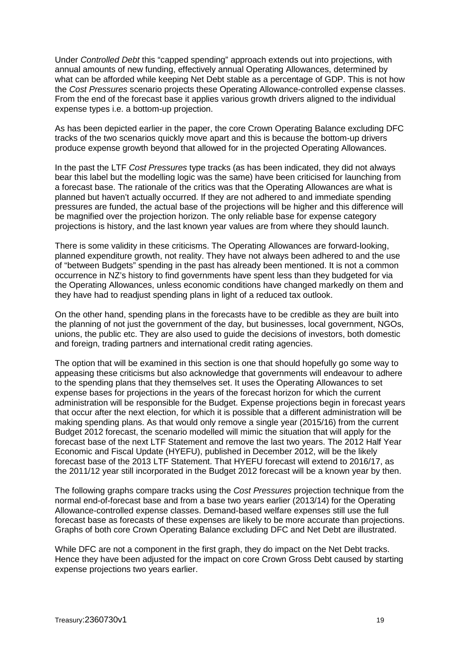Under *Controlled Debt* this "capped spending" approach extends out into projections, with annual amounts of new funding, effectively annual Operating Allowances, determined by what can be afforded while keeping Net Debt stable as a percentage of GDP. This is not how the *Cost Pressures* scenario projects these Operating Allowance-controlled expense classes. From the end of the forecast base it applies various growth drivers aligned to the individual expense types i.e. a bottom-up projection.

As has been depicted earlier in the paper, the core Crown Operating Balance excluding DFC tracks of the two scenarios quickly move apart and this is because the bottom-up drivers produce expense growth beyond that allowed for in the projected Operating Allowances.

In the past the LTF *Cost Pressures* type tracks (as has been indicated, they did not always bear this label but the modelling logic was the same) have been criticised for launching from a forecast base. The rationale of the critics was that the Operating Allowances are what is planned but haven't actually occurred. If they are not adhered to and immediate spending pressures are funded, the actual base of the projections will be higher and this difference will be magnified over the projection horizon. The only reliable base for expense category projections is history, and the last known year values are from where they should launch.

There is some validity in these criticisms. The Operating Allowances are forward-looking, planned expenditure growth, not reality. They have not always been adhered to and the use of "between Budgets" spending in the past has already been mentioned. It is not a common occurrence in NZ's history to find governments have spent less than they budgeted for via the Operating Allowances, unless economic conditions have changed markedly on them and they have had to readjust spending plans in light of a reduced tax outlook.

On the other hand, spending plans in the forecasts have to be credible as they are built into the planning of not just the government of the day, but businesses, local government, NGOs, unions, the public etc. They are also used to guide the decisions of investors, both domestic and foreign, trading partners and international credit rating agencies.

The option that will be examined in this section is one that should hopefully go some way to appeasing these criticisms but also acknowledge that governments will endeavour to adhere to the spending plans that they themselves set. It uses the Operating Allowances to set expense bases for projections in the years of the forecast horizon for which the current administration will be responsible for the Budget. Expense projections begin in forecast years that occur after the next election, for which it is possible that a different administration will be making spending plans. As that would only remove a single year (2015/16) from the current Budget 2012 forecast, the scenario modelled will mimic the situation that will apply for the forecast base of the next LTF Statement and remove the last two years. The 2012 Half Year Economic and Fiscal Update (HYEFU), published in December 2012, will be the likely forecast base of the 2013 LTF Statement. That HYEFU forecast will extend to 2016/17, as the 2011/12 year still incorporated in the Budget 2012 forecast will be a known year by then.

The following graphs compare tracks using the *Cost Pressures* projection technique from the normal end-of-forecast base and from a base two years earlier (2013/14) for the Operating Allowance-controlled expense classes. Demand-based welfare expenses still use the full forecast base as forecasts of these expenses are likely to be more accurate than projections. Graphs of both core Crown Operating Balance excluding DFC and Net Debt are illustrated.

While DFC are not a component in the first graph, they do impact on the Net Debt tracks. Hence they have been adjusted for the impact on core Crown Gross Debt caused by starting expense projections two years earlier.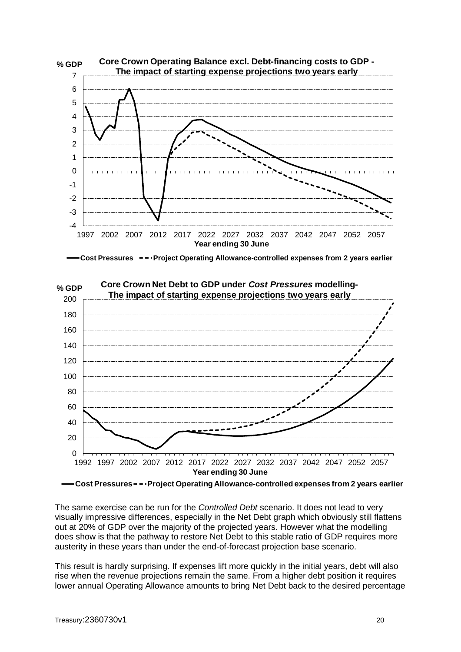





**Core Crown Net Debt to GDP under** *Cost Pressures* **modelling-**

**Cost Pressures Project Operating Allowance-controlled expenses from 2 years earlier**

The same exercise can be run for the *Controlled Debt* scenario. It does not lead to very visually impressive differences, especially in the Net Debt graph which obviously still flattens out at 20% of GDP over the majority of the projected years. However what the modelling does show is that the pathway to restore Net Debt to this stable ratio of GDP requires more austerity in these years than under the end-of-forecast projection base scenario.

This result is hardly surprising. If expenses lift more quickly in the initial years, debt will also rise when the revenue projections remain the same. From a higher debt position it requires lower annual Operating Allowance amounts to bring Net Debt back to the desired percentage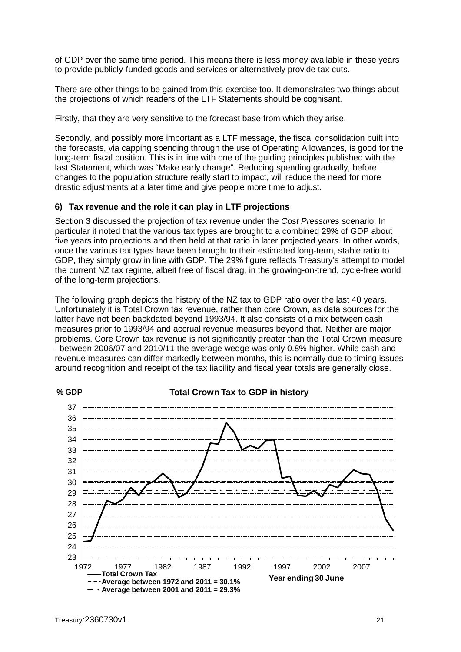of GDP over the same time period. This means there is less money available in these years to provide publicly-funded goods and services or alternatively provide tax cuts.

There are other things to be gained from this exercise too. It demonstrates two things about the projections of which readers of the LTF Statements should be cognisant.

Firstly, that they are very sensitive to the forecast base from which they arise.

Secondly, and possibly more important as a LTF message, the fiscal consolidation built into the forecasts, via capping spending through the use of Operating Allowances, is good for the long-term fiscal position. This is in line with one of the guiding principles published with the last Statement, which was "Make early change". Reducing spending gradually, before changes to the population structure really start to impact, will reduce the need for more drastic adjustments at a later time and give people more time to adjust.

#### **6) Tax revenue and the role it can play in LTF projections**

Section 3 discussed the projection of tax revenue under the *Cost Pressures* scenario. In particular it noted that the various tax types are brought to a combined 29% of GDP about five years into projections and then held at that ratio in later projected years. In other words, once the various tax types have been brought to their estimated long-term, stable ratio to GDP, they simply grow in line with GDP. The 29% figure reflects Treasury's attempt to model the current NZ tax regime, albeit free of fiscal drag, in the growing-on-trend, cycle-free world of the long-term projections.

The following graph depicts the history of the NZ tax to GDP ratio over the last 40 years. Unfortunately it is Total Crown tax revenue, rather than core Crown, as data sources for the latter have not been backdated beyond 1993/94. It also consists of a mix between cash measures prior to 1993/94 and accrual revenue measures beyond that. Neither are major problems. Core Crown tax revenue is not significantly greater than the Total Crown measure –between 2006/07 and 2010/11 the average wedge was only 0.8% higher. While cash and revenue measures can differ markedly between months, this is normally due to timing issues around recognition and receipt of the tax liability and fiscal year totals are generally close.

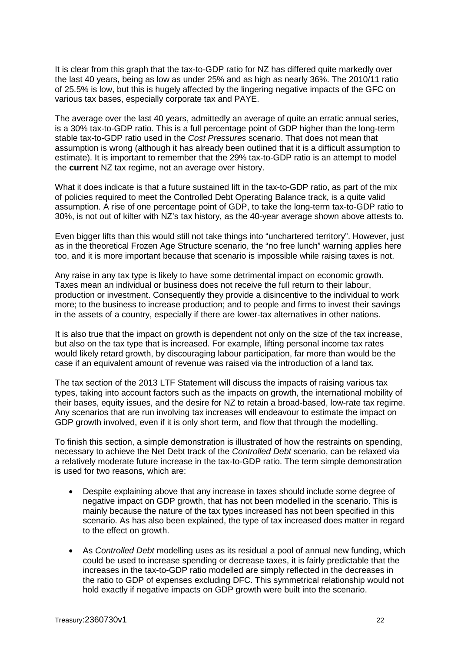It is clear from this graph that the tax-to-GDP ratio for NZ has differed quite markedly over the last 40 years, being as low as under 25% and as high as nearly 36%. The 2010/11 ratio of 25.5% is low, but this is hugely affected by the lingering negative impacts of the GFC on various tax bases, especially corporate tax and PAYE.

The average over the last 40 years, admittedly an average of quite an erratic annual series, is a 30% tax-to-GDP ratio. This is a full percentage point of GDP higher than the long-term stable tax-to-GDP ratio used in the *Cost Pressures* scenario. That does not mean that assumption is wrong (although it has already been outlined that it is a difficult assumption to estimate). It is important to remember that the 29% tax-to-GDP ratio is an attempt to model the **current** NZ tax regime, not an average over history.

What it does indicate is that a future sustained lift in the tax-to-GDP ratio, as part of the mix of policies required to meet the Controlled Debt Operating Balance track, is a quite valid assumption. A rise of one percentage point of GDP, to take the long-term tax-to-GDP ratio to 30%, is not out of kilter with NZ's tax history, as the 40-year average shown above attests to.

Even bigger lifts than this would still not take things into "unchartered territory". However, just as in the theoretical Frozen Age Structure scenario, the "no free lunch" warning applies here too, and it is more important because that scenario is impossible while raising taxes is not.

Any raise in any tax type is likely to have some detrimental impact on economic growth. Taxes mean an individual or business does not receive the full return to their labour, production or investment. Consequently they provide a disincentive to the individual to work more; to the business to increase production; and to people and firms to invest their savings in the assets of a country, especially if there are lower-tax alternatives in other nations.

It is also true that the impact on growth is dependent not only on the size of the tax increase, but also on the tax type that is increased. For example, lifting personal income tax rates would likely retard growth, by discouraging labour participation, far more than would be the case if an equivalent amount of revenue was raised via the introduction of a land tax.

The tax section of the 2013 LTF Statement will discuss the impacts of raising various tax types, taking into account factors such as the impacts on growth, the international mobility of their bases, equity issues, and the desire for NZ to retain a broad-based, low-rate tax regime. Any scenarios that are run involving tax increases will endeavour to estimate the impact on GDP growth involved, even if it is only short term, and flow that through the modelling.

To finish this section, a simple demonstration is illustrated of how the restraints on spending, necessary to achieve the Net Debt track of the *Controlled Debt* scenario, can be relaxed via a relatively moderate future increase in the tax-to-GDP ratio. The term simple demonstration is used for two reasons, which are:

- Despite explaining above that any increase in taxes should include some degree of negative impact on GDP growth, that has not been modelled in the scenario. This is mainly because the nature of the tax types increased has not been specified in this scenario. As has also been explained, the type of tax increased does matter in regard to the effect on growth.
- As *Controlled Debt* modelling uses as its residual a pool of annual new funding, which could be used to increase spending or decrease taxes, it is fairly predictable that the increases in the tax-to-GDP ratio modelled are simply reflected in the decreases in the ratio to GDP of expenses excluding DFC. This symmetrical relationship would not hold exactly if negative impacts on GDP growth were built into the scenario.